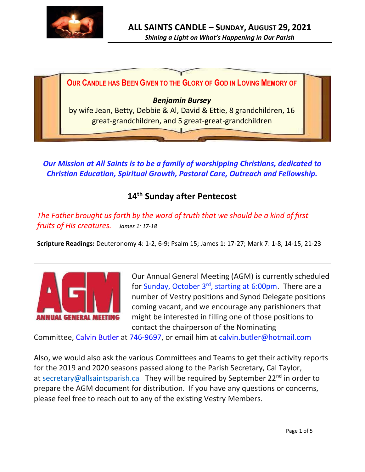



*Our Mission at All Saints is to be a family of worshipping Christians, dedicated to Christian Education, Spiritual Growth, Pastoral Care, Outreach and Fellowship.*

# **14 th Sunday after Pentecost**

*The Father brought us forth by the word of truth that we should be a kind of first fruits of His creatures. James 1: 17-18* 

**Scripture Readings:** Deuteronomy 4: 1-2, 6-9; Psalm 15; James 1: 17-27; Mark 7: 1-8, 14-15, 21-23



Our Annual General Meeting (AGM) is currently scheduled for Sunday, October 3rd, starting at 6:00pm. There are a number of Vestry positions and Synod Delegate positions coming vacant, and we encourage any parishioners that might be interested in filling one of those positions to contact the chairperson of the Nominating

Committee, Calvin Butler at 746-9697, or email him at calvin.butler@hotmail.com

Also, we would also ask the various Committees and Teams to get their activity reports for the 2019 and 2020 seasons passed along to the Parish Secretary, Cal Taylor, at [secretary@allsaintsparish.ca](mailto:secretary@allsaintsparish.ca?subject=Vestry%20Nominations) They will be required by September 22<sup>nd</sup> in order to prepare the AGM document for distribution. If you have any questions or concerns, please feel free to reach out to any of the existing Vestry Members.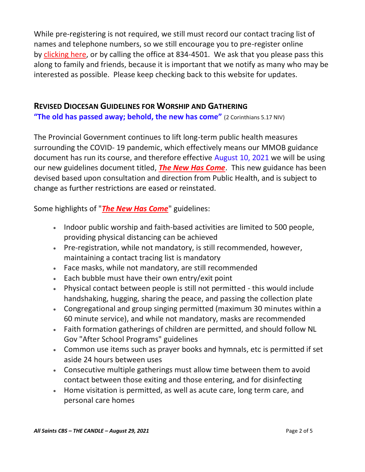While pre-registering is not required, we still must record our contact tracing list of names and telephone numbers, so we still encourage you to pre-register online by [clicking here,](http://allsaintsparish.ca/covid-pre-registration-form_1) or by calling the office at 834-4501. We ask that you please pass this along to family and friends, because it is important that we notify as many who may be interested as possible. Please keep checking back to this website for updates.

#### **REVISED DIOCESAN GUIDELINES FOR WORSHIP AND GATHERING**

**"The old has passed away; behold, the new has come"** (2 Corinthians 5.17 NIV)

The Provincial Government continues to lift long-term public health measures surrounding the COVID- 19 pandemic, which effectively means our MMOB guidance document has run its course, and therefore effective August 10, 2021 we will be using our new guidelines document titled, *[The New Has Come](https://anglicanenl.net/home/wp-content/uploads/2021/08/The-New-Has-Come-August-10-2021.pdf?fbclid=IwAR2_9nhbxB2LEc3XOqAP_nvoRu4G5Mt6NWIYwOEYNI0OtUl0atv2QwCfCY0)*. This new guidance has been devised based upon consultation and direction from Public Health, and is subject to change as further restrictions are eased or reinstated.

Some highlights of "*[The New Has Come](https://anglicanenl.net/home/wp-content/uploads/2021/08/The-New-Has-Come-August-10-2021.pdf?fbclid=IwAR2_9nhbxB2LEc3XOqAP_nvoRu4G5Mt6NWIYwOEYNI0OtUl0atv2QwCfCY0)*" guidelines:

- Indoor public worship and faith-based activities are limited to 500 people, providing physical distancing can be achieved
- Pre-registration, while not mandatory, is still recommended, however, maintaining a contact tracing list is mandatory
- Face masks, while not mandatory, are still recommended
- Each bubble must have their own entry/exit point
- Physical contact between people is still not permitted this would include handshaking, hugging, sharing the peace, and passing the collection plate
- Congregational and group singing permitted (maximum 30 minutes within a 60 minute service), and while not mandatory, masks are recommended
- Faith formation gatherings of children are permitted, and should follow NL Gov "After School Programs" guidelines
- Common use items such as prayer books and hymnals, etc is permitted if set aside 24 hours between uses
- Consecutive multiple gatherings must allow time between them to avoid contact between those exiting and those entering, and for disinfecting
- Home visitation is permitted, as well as acute care, long term care, and personal care homes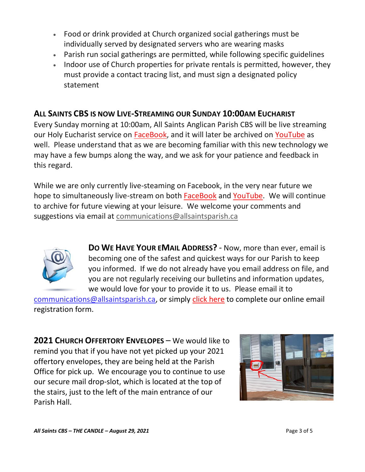- Food or drink provided at Church organized social gatherings must be individually served by designated servers who are wearing masks
- Parish run social gatherings are permitted, while following specific guidelines
- Indoor use of Church properties for private rentals is permitted, however, they must provide a contact tracing list, and must sign a designated policy statement

# **ALL SAINTS CBS IS NOW LIVE-STREAMING OUR SUNDAY 10:00AM EUCHARIST**

Every Sunday morning at 10:00am, All Saints Anglican Parish CBS will be live streaming our Holy Eucharist service on [FaceBook,](https://www.facebook.com/AllSaintsAnglicanChurchCBS) and it will later be archived on [YouTube](https://www.youtube.com/results?search_query=all+saints+anglican+parish+cbs) as well. Please understand that as we are becoming familiar with this new technology we may have a few bumps along the way, and we ask for your patience and feedback in this regard.

While we are only currently live-steaming on Facebook, in the very near future we hope to simultaneously live-stream on both [FaceBook](https://www.facebook.com/AllSaintsAnglicanChurchCBS) and [YouTube.](https://www.youtube.com/results?search_query=all+saints+anglican+parish+cbs) We will continue to archive for future viewing at your leisure. We welcome your comments and suggestions via email at [communications@allsaintsparish.ca](mailto:communications@allsaintsparish.ca)



**DO WE HAVE YOUR EMAIL ADDRESS?** - Now, more than ever, email is becoming one of the safest and quickest ways for our Parish to keep you informed. If we do not already have you email address on file, and you are not regularly receiving our bulletins and information updates, we would love for your to provide it to us. Please email it to

[communications@allsaintsparish.ca,](mailto:communications@allsaintsparish.ca?subject=eMail%20Address%20Update) or simply [click here](http://allsaintsparish.ca/email_updates) to complete our online email registration form.

**2021 CHURCH OFFERTORY ENVELOPES** – We would like to remind you that if you have not yet picked up your 2021 offertory envelopes, they are being held at the Parish Office for pick up. We encourage you to continue to use our secure mail drop-slot, which is located at the top of the stairs, just to the left of the main entrance of our Parish Hall.

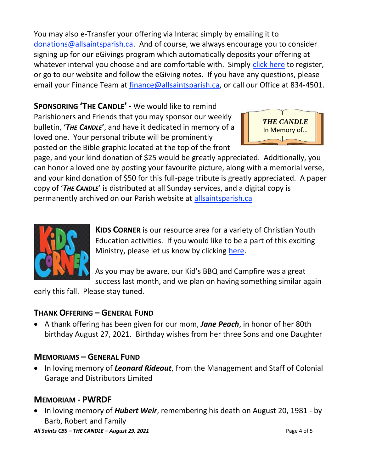You may also e-Transfer your offering via Interac simply by emailing it to [donations@allsaintsparish.ca.](mailto:donations@allsaintsparish.ca) And of course, we always encourage you to consider signing up for our eGivings program which automatically deposits your offering at whatever interval you choose and are comfortable with. Simply [click here](http://allsaintsparish.ca/egiving-online-information-form) to register, or go to our website and follow the eGiving notes. If you have [any](https://wfsites-to.websitecreatorprotool.com/870a5dd5.com/Admin/%7BSK_NODEID__22939341__SK%7D) questions, please email your Finance Team at [finance@allsaintsparish.ca,](mailto:finance@allsaintsparish.ca) or call our Office at 834-4501.

## **SPONSORING 'THE CANDLE'** - We would like to remind

Parishioners and Friends that you may sponsor our weekly bulletin, **'***THE CANDLE***'**, and have it dedicated in memory of a loved one. Your personal tribute will be prominently posted on the Bible graphic located at the top of the front



page, and your kind donation of \$25 would be greatly appreciated. Additionally, you can honor a loved one by posting your favourite picture, along with a memorial verse, and your kind donation of \$50 for this full-page tribute is greatly appreciated. A paper copy of '*THE CANDLE*' is distributed at all Sunday services, and a digital copy is permanently archived on our Parish website at [allsaintsparish.ca](http://allsaintsparish.ca/thecandle.html)



**KIDS CORNER** is our resource area for a variety of Christian Youth Education activities. If you would like to be a part of this exciting Ministry, please let us know by clicking [here.](http://allsaintsparish.ca/index.html#comments)

As you may be aware, our Kid's BBQ and Campfire was a great success last month, and we plan on having something similar again

early this fall. Please stay tuned.

### **THANK OFFERING – GENERAL FUND**

• A thank offering has been given for our mom, *Jane Peach*, in honor of her 80th birthday August 27, 2021. Birthday wishes from her three Sons and one Daughter

#### **MEMORIAMS – GENERAL FUND**

• In loving memory of *Leonard Rideout*, from the Management and Staff of Colonial Garage and Distributors Limited

### **MEMORIAM - PWRDF**

• In loving memory of *Hubert Weir*, remembering his death on August 20, 1981 - by Barb, Robert and Family

*All Saints CBS – THE CANDLE – August 29, 2021* Page 4 of 5